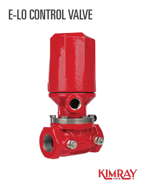## **E-LO CONTROL VALVE**



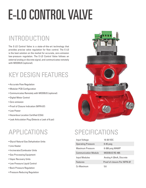# E-LO CONTROL VALVE

#### INTRODUCTION

The E-LO Control Valve is a state-of-the-art technology that provides precise valve regulation for flow control. The E-LO is the best solution on the market for accurate, zero-emission low-pressure regulation. The E-LO Control Valve follows an external analog or discrete signal, and communicates remotely with MODBUS (optional).

### KEY DESIGN FEATURES

- Accurate Flow Regulation
- Modular PCB Configuration
- Communicates Remotely with MODBUS (optional)
- Digital Motor Control
- Zero-emission
- Proof of Closure Indication (NFPA 87)
- Low Power
- Hazardous Location Certified (CSA)
- Leak Articulation Plug (Detects a Leak of 6 psi)

#### APPLICATIONS

- Glycol Natural Gas Dehydration Units
- Line Heater
- Incinerator/Combustor Units
- Gas Processing Equipment
- Vapor Recovery Units
- Low Pressure Liquid Control
- Back Pressure Regulation
- Pressure Reducing Regulation



#### SPECIFICATIONS

| Input Voltage               | 10-30 VDC                    |
|-----------------------------|------------------------------|
| <b>Operating Pressure</b>   | $0-45$ psig                  |
| Maximum Pressure            | 0-300 psig MAWP              |
| <b>Communication Module</b> | MODBUS RS-485                |
| Input Modules               | Analog 4-20mA, Discrete      |
| Features                    | Proof of closure Per NFPA 87 |
| Cv Maximum                  | 5.6                          |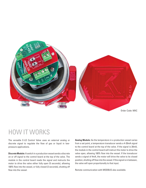

#### HOW IT WORKS

The versatile E-LO Control Valve uses an external analog or discrete signal to regulate the flow of gas or liquid in lowpressure applications.

**Discrete Module:** A switch in a production vessel sends a discrete on or off signal to the control board at the top of the valve. The module in the control board reads the signal and instructs the motor to drive the valve either fully open (5 seconds), allowing 100% flow into the vessel, or fully closed (2 seconds), shutting off flow into the vessel.

**Analog Module:** As the temperature in a production vessel varies from a set point, a temperature transducer sends a 4-20mA signal to the control board at the top of the valve. If the signal is 20mA, the module in the control board will instruct the motor to drive the valve open, allowing 100% flow into the vessel. If the transducer sends a signal of 4mA, the motor will drive the valve to its closed position, shutting off flow into the vessel. If the signal is in between, the valve will open proportionally to that input.

Remote communication with MODBUS also available.